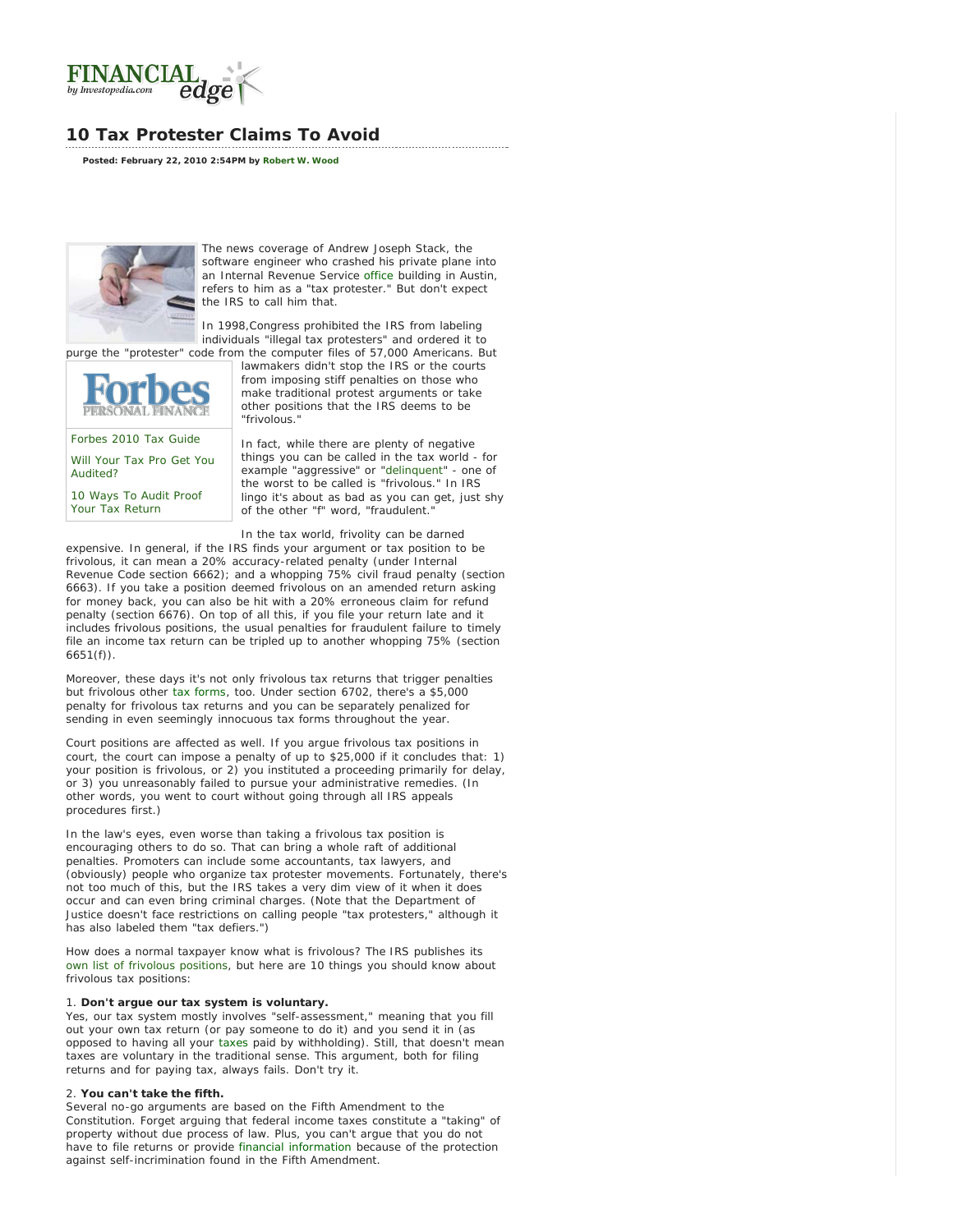<span id="page-0-0"></span>

# **10 Tax Protester Claims To Avoid**

**Posted: February 22, 2010 2:54PM by [Robert W. Wood](http://www.investopedia.com/contributors/default.aspx?id=394)**



The news coverage of Andrew Joseph Stack, the software engineer who crashed his private plane into an Internal Revenue Service [office](#page-0-0) building in Austin, refers to him as a "tax protester." But don't expect the IRS to call him that.

In 1998,Congress prohibited the IRS from labeling individuals "illegal tax protesters" and ordered it to

purge the "protester" code from the computer files of 57,000 Americans. But

[Forbes 2010 Tax Guide](http://www.forbes.com/2010/02/16/tax-credits-planning-1040-irs-personal-finance-money-life-tax_land.html) [Will Your Tax Pro Get You](http://www.forbes.com/2010/02/16/irs-1040-tax-preparers-personal-finance-bad-tax-pros.html) [Audited?](http://www.forbes.com/2010/02/16/irs-1040-tax-preparers-personal-finance-bad-tax-pros.html)

[10 Ways To Audit Proof](http://www.forbes.com/2009/11/03/audit-proof-tax-return-irs-personal-finance-wood.html) [Your Tax Return](http://www.forbes.com/2009/11/03/audit-proof-tax-return-irs-personal-finance-wood.html)

lawmakers didn't stop the IRS or the courts from imposing stiff penalties on those who make traditional protest arguments or take other positions that the IRS deems to be "frivolous."

In fact, while there are plenty of negative things you can be called in the tax world - for example "aggressive" or "[delinquent"](http://www.investopedia.com/terms/d/delinquent.asp) - one of the worst to be called is "frivolous." In IRS lingo it's about as bad as you can get, just shy of the other "f" word, "fraudulent.

In the tax world, frivolity can be darned expensive. In general, if the IRS finds your argument or tax position to be frivolous, it can mean a 20% accuracy-related penalty (under Internal Revenue Code section 6662); and a whopping 75% civil fraud penalty (section 6663). If you take a position deemed frivolous on an amended return asking for money back, you can also be hit with a 20% erroneous claim for refund penalty (section 6676). On top of all this, if you file your return late and it includes frivolous positions, the usual penalties for fraudulent failure to timely file an income tax return can be tripled up to another whopping 75% (section 6651(f)).

Moreover, these days it's not only frivolous tax returns that trigger penalties but frivolous *other* [tax forms](#page-0-0), too. Under section 6702, there's a \$5,000 penalty for frivolous tax returns and you can be separately penalized for sending in even seemingly innocuous tax forms throughout the year.

Court positions are affected as well. If you argue frivolous tax positions in court, the court can impose a penalty of up to \$25,000 if it concludes that: 1) your position is frivolous, or 2) you instituted a proceeding primarily for delay, or 3) you unreasonably failed to pursue your administrative remedies. (In other words, you went to court without going through all IRS appeals procedures first.)

In the law's eyes, even worse than taking a frivolous tax position is encouraging others to do so. That can bring a whole raft of additional penalties. Promoters can include some accountants, tax lawyers, and (obviously) people who organize tax protester movements. Fortunately, there's not too much of this, but the IRS takes a very dim view of it when it does occur and can even bring criminal charges. (Note that the Department of Justice doesn't face restrictions on calling people "tax protesters," although it has also labeled them "tax defiers.")

How does a normal taxpayer know what is frivolous? The IRS publishes its [own list of frivolous positions](http://www.irs.gov/pub/irs-utl/friv_tax.pdf,), but here are 10 things you should know about frivolous tax positions:

## 1. **Don't argue our tax system is voluntary.**

Yes, our tax system mostly involves "self-assessment," meaning that you fill out your own tax return (or pay someone to do it) and you send it in (as opposed to having all your [taxes](#page-0-0) paid by withholding). Still, that doesn't mean taxes are voluntary in the traditional sense. This argument, both for filing returns and for paying tax, always fails. Don't try it.

#### 2. **You can't take the fifth.**

Several no-go arguments are based on the Fifth Amendment to the Constitution. Forget arguing that federal income taxes constitute a "taking" of property without due process of law. Plus, you can't argue that you do not have to file returns or provide [financial information](#page-0-0) because of the protection against self-incrimination found in the Fifth Amendment.